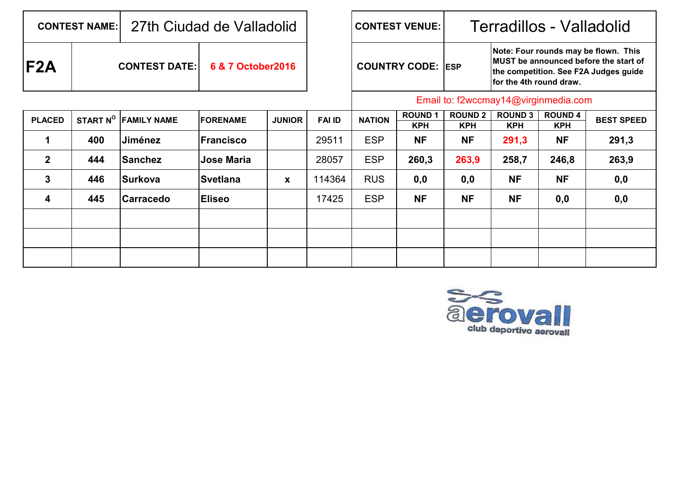| <b>CONTEST NAME:</b> |                      | 27th Ciudad de Valladolid |                    |               |               |                      | <b>CONTEST VENUE:</b>                | Terradillos - Valladolid     |                              |                                                                                                                        |                   |  |  |  |  |
|----------------------|----------------------|---------------------------|--------------------|---------------|---------------|----------------------|--------------------------------------|------------------------------|------------------------------|------------------------------------------------------------------------------------------------------------------------|-------------------|--|--|--|--|
| F2A                  | <b>CONTEST DATE:</b> |                           | 6 & 7 October 2016 |               |               | <b>COUNTRY CODE:</b> |                                      | <b>IESP</b>                  | for the 4th round draw.      | Note: Four rounds may be flown. This<br>MUST be announced before the start of<br>the competition. See F2A Judges guide |                   |  |  |  |  |
|                      |                      |                           |                    |               |               |                      | Email to: f2wccmay14@virginmedia.com |                              |                              |                                                                                                                        |                   |  |  |  |  |
| <b>PLACED</b>        | START N <sup>o</sup> | <b>FAMILY NAME</b>        | <b>IFORENAME</b>   | <b>JUNIOR</b> | <b>FAI ID</b> | <b>NATION</b>        | <b>ROUND1</b><br><b>KPH</b>          | <b>ROUND 2</b><br><b>KPH</b> | <b>ROUND 3</b><br><b>KPH</b> | <b>ROUND 4</b><br><b>KPH</b>                                                                                           | <b>BEST SPEED</b> |  |  |  |  |
|                      | 400                  | Jiménez                   | <b>IFrancisco</b>  |               | 29511         | <b>ESP</b>           | <b>NF</b>                            | <b>NF</b>                    | 291,3                        | <b>NF</b>                                                                                                              | 291,3             |  |  |  |  |
| $\mathbf{2}$         | 444                  | <b>Sanchez</b>            | <b>Jose Maria</b>  |               | 28057         | <b>ESP</b>           | 260,3                                | 263,9                        | 258,7                        | 246,8                                                                                                                  | 263,9             |  |  |  |  |
| 3                    | 446                  | <b>Surkova</b>            | <b>Svetlana</b>    | X             | 114364        | <b>RUS</b>           | 0,0                                  | 0,0                          | <b>NF</b>                    | <b>NF</b>                                                                                                              | 0,0               |  |  |  |  |
| 4                    | 445                  | <b>Carracedo</b>          | <b>Eliseo</b>      |               | 17425         | <b>ESP</b>           | <b>NF</b>                            | <b>NF</b>                    | <b>NF</b>                    | 0,0                                                                                                                    | 0,0               |  |  |  |  |
|                      |                      |                           |                    |               |               |                      |                                      |                              |                              |                                                                                                                        |                   |  |  |  |  |

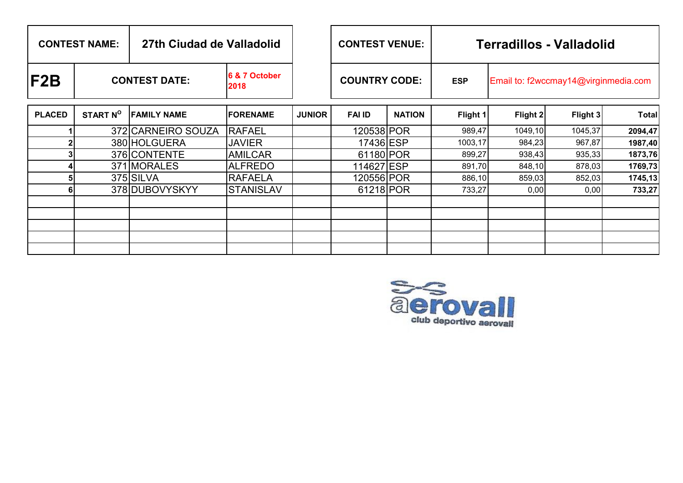| <b>CONTEST NAME:</b> |                      | 27th Ciudad de Valladolid |                       | <b>CONTEST VENUE:</b> |                      | <b>Terradillos - Valladolid</b> |            |                                      |          |              |  |  |  |  |
|----------------------|----------------------|---------------------------|-----------------------|-----------------------|----------------------|---------------------------------|------------|--------------------------------------|----------|--------------|--|--|--|--|
| F2B                  | <b>CONTEST DATE:</b> |                           | 6 & 7 October<br>2018 |                       | <b>COUNTRY CODE:</b> |                                 | <b>ESP</b> | Email to: f2wccmay14@virginmedia.com |          |              |  |  |  |  |
| <b>PLACED</b>        | START N <sup>O</sup> | <b>FAMILY NAME</b>        | <b>FORENAME</b>       | <b>JUNIOR</b>         | <b>FAI ID</b>        | <b>NATION</b>                   | Flight 1   | Flight 2                             | Flight 3 | <b>Total</b> |  |  |  |  |
|                      |                      | 372 CARNEIRO SOUZA        | <b>RAFAEL</b>         |                       | 120538 POR           |                                 | 989,47     | 1049,10                              | 1045,37  | 2094,47      |  |  |  |  |
|                      |                      | 380 HOLGUERA              | <b>JAVIER</b>         |                       | 17436 ESP            |                                 | 1003,17    | 984,23                               | 967,87   | 1987,40      |  |  |  |  |
|                      |                      | 376 CONTENTE              | <b>AMILCAR</b>        |                       | 61180 POR            |                                 | 899,27     | 938,43                               | 935,33   | 1873,76      |  |  |  |  |
|                      |                      | 371 MORALES               | <b>ALFREDO</b>        |                       | 114627 ESP           |                                 | 891,70     | 848,10                               | 878,03   | 1769,73      |  |  |  |  |
|                      |                      | 375 SILVA                 | <b>RAFAELA</b>        |                       | 120556 POR           |                                 | 886,10     | 859,03                               | 852,03   | 1745,13      |  |  |  |  |
|                      |                      | 378 DUBOVYSKYY            | <b>STANISLAV</b>      |                       | 61218 POR            |                                 | 733,27     | 0,00                                 | 0,00     | 733,27       |  |  |  |  |
|                      |                      |                           |                       |                       |                      |                                 |            |                                      |          |              |  |  |  |  |
|                      |                      |                           |                       |                       |                      |                                 |            |                                      |          |              |  |  |  |  |
|                      |                      |                           |                       |                       |                      |                                 |            |                                      |          |              |  |  |  |  |
|                      |                      |                           |                       |                       |                      |                                 |            |                                      |          |              |  |  |  |  |
|                      |                      |                           |                       |                       |                      |                                 |            |                                      |          |              |  |  |  |  |

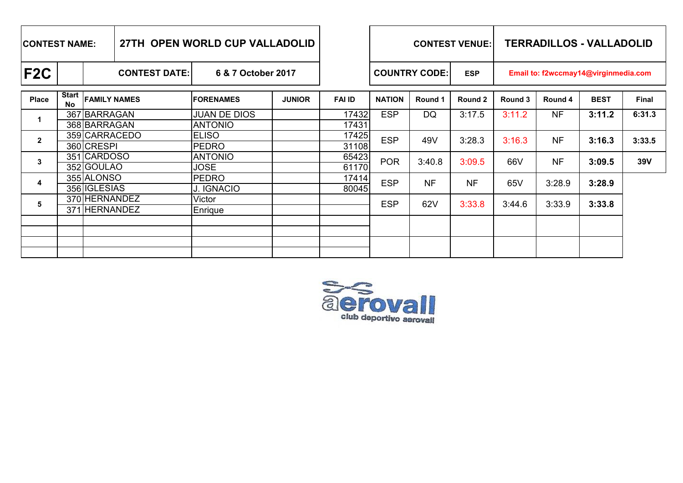| <b>ICONTEST NAME:</b> |                           |                                   | 27TH OPEN WORLD CUP VALLADOLID |                                       |               |                | <b>CONTEST VENUE:</b> |           |            | <b>TERRADILLOS - VALLADOLID</b>      |           |             |        |  |  |
|-----------------------|---------------------------|-----------------------------------|--------------------------------|---------------------------------------|---------------|----------------|-----------------------|-----------|------------|--------------------------------------|-----------|-------------|--------|--|--|
| F2C                   |                           | <b>CONTEST DATE:</b>              |                                | 6 & 7 October 2017                    |               |                | <b>COUNTRY CODE:</b>  |           | <b>ESP</b> | Email to: f2wccmay14@virginmedia.com |           |             |        |  |  |
| <b>Place</b>          | <b>Start</b><br><b>No</b> | <b>FAMILY NAMES</b>               |                                | <b>FORENAMES</b>                      | <b>JUNIOR</b> | <b>FAI ID</b>  | <b>NATION</b>         | Round 1   | Round 2    | Round 3                              | Round 4   | <b>BEST</b> | Final  |  |  |
|                       |                           | 367 BARRAGAN<br>368 BARRAGAN      |                                | <b>JUAN DE DIOS</b><br><b>ANTONIO</b> |               | 17432<br>17431 | <b>ESP</b>            | DQ        | 3:17.5     | 3:11.2                               | <b>NF</b> | 3:11.2      | 6:31.3 |  |  |
| $\mathbf{2}$          |                           | 359 CARRACEDO<br>360 CRESPI       |                                | <b>ELISO</b><br><b>PEDRO</b>          |               | 17425<br>31108 | <b>ESP</b>            | 49V       | 3:28.3     | 3:16.3                               | <b>NF</b> | 3:16.3      | 3:33.5 |  |  |
| 3                     |                           | 351 CARDOSO<br>352 GOULAO         |                                | <b>ANTONIO</b><br><b>JOSE</b>         |               | 65423<br>61170 | <b>POR</b>            | 3:40.8    | 3:09.5     | 66V                                  | <b>NF</b> | 3:09.5      | 39V    |  |  |
| 4                     |                           | 355 ALONSO<br>356 <b>IGLESIAS</b> |                                | <b>PEDRO</b><br>J. IGNACIO            |               | 17414<br>80045 | <b>ESP</b>            | <b>NF</b> | <b>NF</b>  | 65V                                  | 3:28.9    | 3:28.9      |        |  |  |
| 5                     |                           | 370 HERNANDEZ<br>371 HERNANDEZ    |                                | Victor<br>Enrique                     |               |                | <b>ESP</b>            | 62V       | 3:33.8     | 3:44.6                               | 3:33.9    | 3:33.8      |        |  |  |
|                       |                           |                                   |                                |                                       |               |                |                       |           |            |                                      |           |             |        |  |  |
|                       |                           |                                   |                                |                                       |               |                |                       |           |            |                                      |           |             |        |  |  |